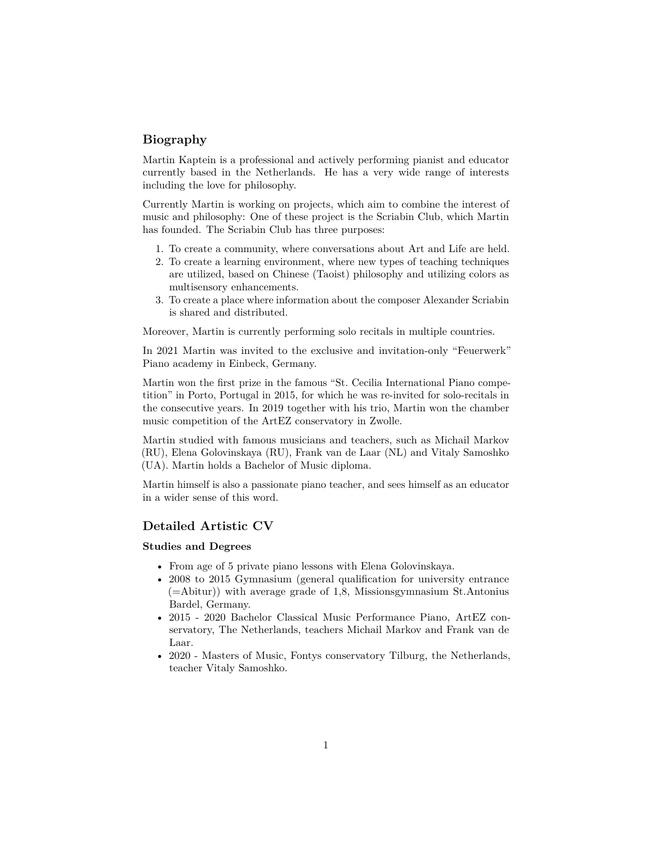# **Biography**

Martin Kaptein is a professional and actively performing pianist and educator currently based in the Netherlands. He has a very wide range of interests including the love for philosophy.

Currently Martin is working on projects, which aim to combine the interest of music and philosophy: One of these project is [the Scriabin Club,](https://scriabinclub.com/) which Martin has founded. The Scriabin Club has three purposes:

- 1. To create a community, where conversations about Art and Life are held.
- 2. To create a learning environment, where new types of teaching techniques are utilized, based on Chinese (Taoist) philosophy and utilizing colors as multisensory enhancements.
- 3. To create a place where information about the composer Alexander Scriabin is shared and distributed.

Moreover, Martin is currently performing solo recitals in multiple countries.

In 2021 Martin was invited to the exclusive and invitation-only "Feuerwerk" Piano academy in Einbeck, Germany.

Martin won the first prize in the famous "St. Cecilia International Piano competition" in Porto, Portugal in 2015, for which he was re-invited for solo-recitals in the consecutive years. In 2019 together with his trio, Martin won the chamber music competition of the ArtEZ conservatory in Zwolle.

Martin studied with famous musicians and teachers, such as Michail Markov (RU), Elena Golovinskaya (RU), Frank van de Laar (NL) and Vitaly Samoshko (UA). Martin holds a Bachelor of Music diploma.

Martin himself is also a passionate piano teacher, and sees himself as an educator in a wider sense of this word.

# **Detailed Artistic CV**

## **Studies and Degrees**

- From age of 5 private piano lessons with Elena Golovinskaya.
- 2008 to 2015 Gymnasium (general qualification for university entrance (=Abitur)) with average grade of 1,8, Missionsgymnasium St.Antonius Bardel, Germany.
- 2015 2020 Bachelor Classical Music Performance Piano, ArtEZ conservatory, The Netherlands, teachers Michail Markov and Frank van de Laar.
- 2020 Masters of Music, Fontys conservatory Tilburg, the Netherlands, teacher Vitaly Samoshko.